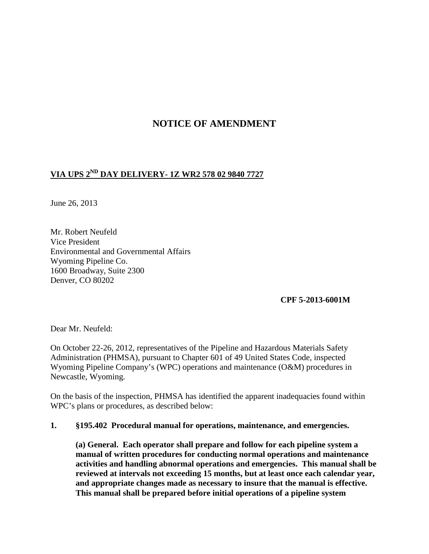# **NOTICE OF AMENDMENT**

# **VIA UPS 2ND DAY DELIVERY- 1Z WR2 578 02 9840 7727**

June 26, 2013

Mr. Robert Neufeld Vice President Environmental and Governmental Affairs Wyoming Pipeline Co. 1600 Broadway, Suite 2300 Denver, CO 80202

**CPF 5-2013-6001M** 

Dear Mr. Neufeld:

On October 22-26, 2012, representatives of the Pipeline and Hazardous Materials Safety Administration (PHMSA), pursuant to Chapter 601 of 49 United States Code, inspected Wyoming Pipeline Company's (WPC) operations and maintenance (O&M) procedures in Newcastle, Wyoming.

On the basis of the inspection, PHMSA has identified the apparent inadequacies found within WPC's plans or procedures, as described below:

#### **1. §195.402 Procedural manual for operations, maintenance, and emergencies.**

**(a) General. Each operator shall prepare and follow for each pipeline system a manual of written procedures for conducting normal operations and maintenance activities and handling abnormal operations and emergencies. This manual shall be reviewed at intervals not exceeding 15 months, but at least once each calendar year, and appropriate changes made as necessary to insure that the manual is effective. This manual shall be prepared before initial operations of a pipeline system**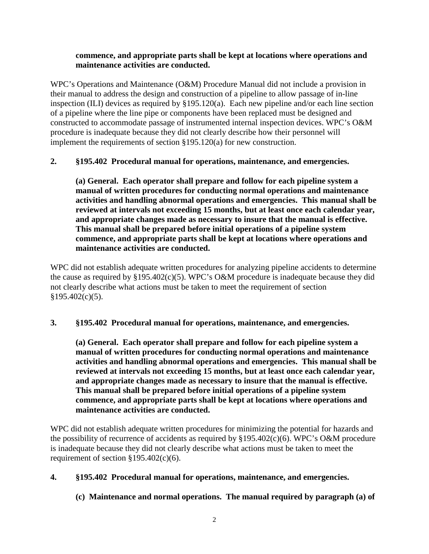#### **commence, and appropriate parts shall be kept at locations where operations and maintenance activities are conducted.**

WPC's Operations and Maintenance (O&M) Procedure Manual did not include a provision in their manual to address the design and construction of a pipeline to allow passage of in-line inspection (ILI) devices as required by §195.120(a). Each new pipeline and/or each line section of a pipeline where the line pipe or components have been replaced must be designed and constructed to accommodate passage of instrumented internal inspection devices. WPC's O&M procedure is inadequate because they did not clearly describe how their personnel will implement the requirements of section §195.120(a) for new construction.

## **2. §195.402 Procedural manual for operations, maintenance, and emergencies.**

**(a) General. Each operator shall prepare and follow for each pipeline system a manual of written procedures for conducting normal operations and maintenance activities and handling abnormal operations and emergencies. This manual shall be reviewed at intervals not exceeding 15 months, but at least once each calendar year, and appropriate changes made as necessary to insure that the manual is effective. This manual shall be prepared before initial operations of a pipeline system commence, and appropriate parts shall be kept at locations where operations and maintenance activities are conducted.**

WPC did not establish adequate written procedures for analyzing pipeline accidents to determine the cause as required by  $\S 195.402(c)(5)$ . WPC's O&M procedure is inadequate because they did not clearly describe what actions must be taken to meet the requirement of section  $§195.402(c)(5).$ 

## **3. §195.402 Procedural manual for operations, maintenance, and emergencies.**

**(a) General. Each operator shall prepare and follow for each pipeline system a manual of written procedures for conducting normal operations and maintenance activities and handling abnormal operations and emergencies. This manual shall be reviewed at intervals not exceeding 15 months, but at least once each calendar year, and appropriate changes made as necessary to insure that the manual is effective. This manual shall be prepared before initial operations of a pipeline system commence, and appropriate parts shall be kept at locations where operations and maintenance activities are conducted.**

WPC did not establish adequate written procedures for minimizing the potential for hazards and the possibility of recurrence of accidents as required by  $\S 195.402(c)(6)$ . WPC's O&M procedure is inadequate because they did not clearly describe what actions must be taken to meet the requirement of section  $\S 195.402(c)(6)$ .

# **4. §195.402 Procedural manual for operations, maintenance, and emergencies.**

# **(c) Maintenance and normal operations. The manual required by paragraph (a) of**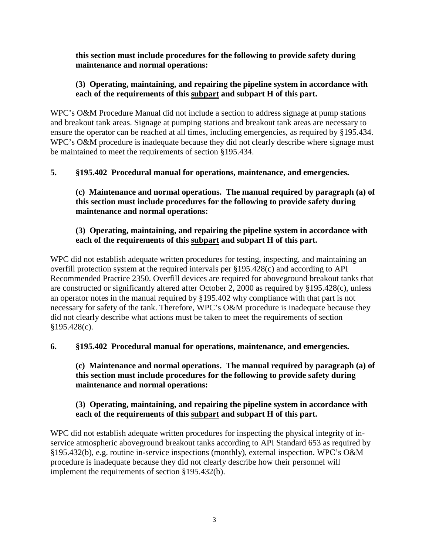#### **this section must include procedures for the following to provide safety during maintenance and normal operations:**

#### **(3) Operating, maintaining, and repairing the pipeline system in accordance with each of the requirements of this subpart and subpart H of this part.**

WPC's O&M Procedure Manual did not include a section to address signage at pump stations and breakout tank areas. Signage at pumping stations and breakout tank areas are necessary to ensure the operator can be reached at all times, including emergencies, as required by §195.434. WPC's O&M procedure is inadequate because they did not clearly describe where signage must be maintained to meet the requirements of section §195.434.

## **5. §195.402 Procedural manual for operations, maintenance, and emergencies.**

**(c) Maintenance and normal operations. The manual required by paragraph (a) of this section must include procedures for the following to provide safety during maintenance and normal operations:** 

## **(3) Operating, maintaining, and repairing the pipeline system in accordance with each of the requirements of this subpart and subpart H of this part.**

WPC did not establish adequate written procedures for testing, inspecting, and maintaining an overfill protection system at the required intervals per §195.428(c) and according to API Recommended Practice 2350. Overfill devices are required for aboveground breakout tanks that are constructed or significantly altered after October 2, 2000 as required by §195.428(c), unless an operator notes in the manual required by §195.402 why compliance with that part is not necessary for safety of the tank. Therefore, WPC's O&M procedure is inadequate because they did not clearly describe what actions must be taken to meet the requirements of section §195.428(c).

## **6. §195.402 Procedural manual for operations, maintenance, and emergencies.**

**(c) Maintenance and normal operations. The manual required by paragraph (a) of this section must include procedures for the following to provide safety during maintenance and normal operations:** 

#### **(3) Operating, maintaining, and repairing the pipeline system in accordance with each of the requirements of this subpart and subpart H of this part.**

WPC did not establish adequate written procedures for inspecting the physical integrity of inservice atmospheric aboveground breakout tanks according to API Standard 653 as required by §195.432(b), e.g. routine in-service inspections (monthly), external inspection. WPC's O&M procedure is inadequate because they did not clearly describe how their personnel will implement the requirements of section §195.432(b).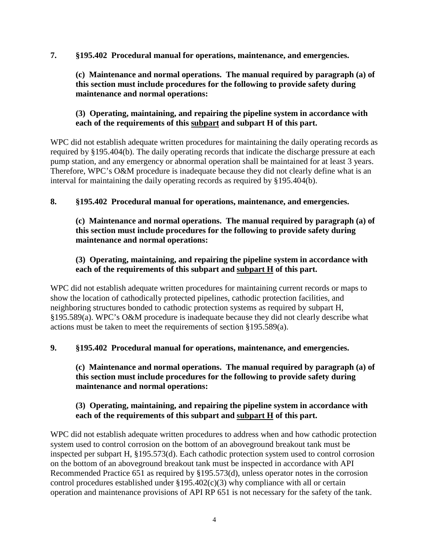**7. §195.402 Procedural manual for operations, maintenance, and emergencies.** 

**(c) Maintenance and normal operations. The manual required by paragraph (a) of this section must include procedures for the following to provide safety during maintenance and normal operations:** 

## **(3) Operating, maintaining, and repairing the pipeline system in accordance with each of the requirements of this subpart and subpart H of this part.**

WPC did not establish adequate written procedures for maintaining the daily operating records as required by §195.404(b). The daily operating records that indicate the discharge pressure at each pump station, and any emergency or abnormal operation shall be maintained for at least 3 years. Therefore, WPC's O&M procedure is inadequate because they did not clearly define what is an interval for maintaining the daily operating records as required by §195.404(b).

## **8. §195.402 Procedural manual for operations, maintenance, and emergencies.**

## **(c) Maintenance and normal operations. The manual required by paragraph (a) of this section must include procedures for the following to provide safety during maintenance and normal operations:**

## **(3) Operating, maintaining, and repairing the pipeline system in accordance with each of the requirements of this subpart and subpart H of this part.**

WPC did not establish adequate written procedures for maintaining current records or maps to show the location of cathodically protected pipelines, cathodic protection facilities, and neighboring structures bonded to cathodic protection systems as required by subpart H, §195.589(a). WPC's O&M procedure is inadequate because they did not clearly describe what actions must be taken to meet the requirements of section §195.589(a).

# **9. §195.402 Procedural manual for operations, maintenance, and emergencies.**

## **(c) Maintenance and normal operations. The manual required by paragraph (a) of this section must include procedures for the following to provide safety during maintenance and normal operations:**

## **(3) Operating, maintaining, and repairing the pipeline system in accordance with each of the requirements of this subpart and subpart H of this part.**

WPC did not establish adequate written procedures to address when and how cathodic protection system used to control corrosion on the bottom of an aboveground breakout tank must be inspected per subpart H, §195.573(d). Each cathodic protection system used to control corrosion on the bottom of an aboveground breakout tank must be inspected in accordance with API Recommended Practice 651 as required by §195.573(d), unless operator notes in the corrosion control procedures established under  $$195.402(c)(3)$  why compliance with all or certain operation and maintenance provisions of API RP 651 is not necessary for the safety of the tank.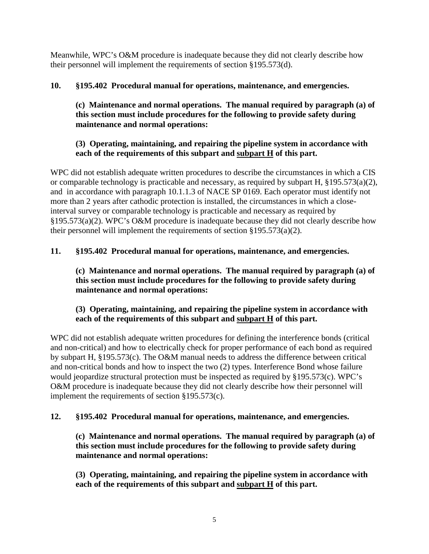Meanwhile, WPC's O&M procedure is inadequate because they did not clearly describe how their personnel will implement the requirements of section §195.573(d).

# **10. §195.402 Procedural manual for operations, maintenance, and emergencies.**

**(c) Maintenance and normal operations. The manual required by paragraph (a) of this section must include procedures for the following to provide safety during maintenance and normal operations:** 

# **(3) Operating, maintaining, and repairing the pipeline system in accordance with each of the requirements of this subpart and subpart H of this part.**

WPC did not establish adequate written procedures to describe the circumstances in which a CIS or comparable technology is practicable and necessary, as required by subpart H, §195.573(a)(2), and in accordance with paragraph 10.1.1.3 of NACE SP 0169. Each operator must identify not more than 2 years after cathodic protection is installed, the circumstances in which a closeinterval survey or comparable technology is practicable and necessary as required by §195.573(a)(2). WPC's O&M procedure is inadequate because they did not clearly describe how their personnel will implement the requirements of section §195.573(a)(2).

# **11. §195.402 Procedural manual for operations, maintenance, and emergencies.**

**(c) Maintenance and normal operations. The manual required by paragraph (a) of this section must include procedures for the following to provide safety during maintenance and normal operations:** 

## **(3) Operating, maintaining, and repairing the pipeline system in accordance with each of the requirements of this subpart and subpart H of this part.**

WPC did not establish adequate written procedures for defining the interference bonds (critical and non-critical) and how to electrically check for proper performance of each bond as required by subpart H, §195.573(c). The O&M manual needs to address the difference between critical and non-critical bonds and how to inspect the two (2) types. Interference Bond whose failure would jeopardize structural protection must be inspected as required by §195.573(c). WPC's O&M procedure is inadequate because they did not clearly describe how their personnel will implement the requirements of section §195.573(c).

# **12. §195.402 Procedural manual for operations, maintenance, and emergencies.**

**(c) Maintenance and normal operations. The manual required by paragraph (a) of this section must include procedures for the following to provide safety during maintenance and normal operations:** 

**(3) Operating, maintaining, and repairing the pipeline system in accordance with each of the requirements of this subpart and subpart H of this part.**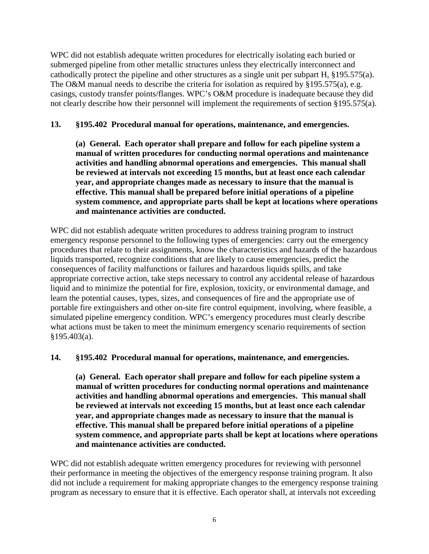WPC did not establish adequate written procedures for electrically isolating each buried or submerged pipeline from other metallic structures unless they electrically interconnect and cathodically protect the pipeline and other structures as a single unit per subpart H, §195.575(a). The O&M manual needs to describe the criteria for isolation as required by §195.575(a), e.g. casings, custody transfer points/flanges. WPC's O&M procedure is inadequate because they did not clearly describe how their personnel will implement the requirements of section §195.575(a).

#### **13. §195.402 Procedural manual for operations, maintenance, and emergencies.**

**(a) General. Each operator shall prepare and follow for each pipeline system a manual of written procedures for conducting normal operations and maintenance activities and handling abnormal operations and emergencies. This manual shall be reviewed at intervals not exceeding 15 months, but at least once each calendar year, and appropriate changes made as necessary to insure that the manual is effective. This manual shall be prepared before initial operations of a pipeline system commence, and appropriate parts shall be kept at locations where operations and maintenance activities are conducted.**

WPC did not establish adequate written procedures to address training program to instruct emergency response personnel to the following types of emergencies: carry out the emergency procedures that relate to their assignments, know the characteristics and hazards of the hazardous liquids transported, recognize conditions that are likely to cause emergencies, predict the consequences of facility malfunctions or failures and hazardous liquids spills, and take appropriate corrective action, take steps necessary to control any accidental release of hazardous liquid and to minimize the potential for fire, explosion, toxicity, or environmental damage, and learn the potential causes, types, sizes, and consequences of fire and the appropriate use of portable fire extinguishers and other on-site fire control equipment, involving, where feasible, a simulated pipeline emergency condition. WPC's emergency procedures must clearly describe what actions must be taken to meet the minimum emergency scenario requirements of section §195.403(a).

**14. §195.402 Procedural manual for operations, maintenance, and emergencies.** 

**(a) General. Each operator shall prepare and follow for each pipeline system a manual of written procedures for conducting normal operations and maintenance activities and handling abnormal operations and emergencies. This manual shall be reviewed at intervals not exceeding 15 months, but at least once each calendar year, and appropriate changes made as necessary to insure that the manual is effective. This manual shall be prepared before initial operations of a pipeline system commence, and appropriate parts shall be kept at locations where operations and maintenance activities are conducted.**

WPC did not establish adequate written emergency procedures for reviewing with personnel their performance in meeting the objectives of the emergency response training program. It also did not include a requirement for making appropriate changes to the emergency response training program as necessary to ensure that it is effective. Each operator shall, at intervals not exceeding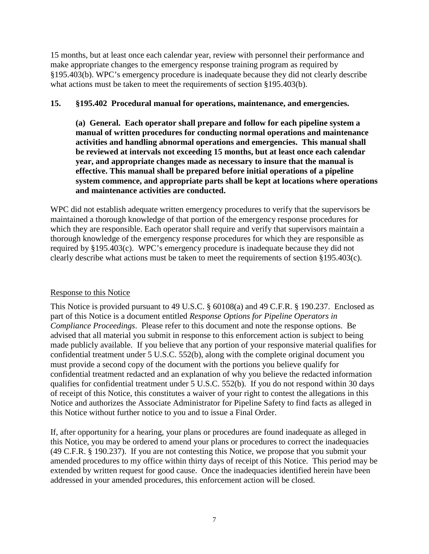15 months, but at least once each calendar year, review with personnel their performance and make appropriate changes to the emergency response training program as required by §195.403(b). WPC's emergency procedure is inadequate because they did not clearly describe what actions must be taken to meet the requirements of section §195.403(b).

## **15. §195.402 Procedural manual for operations, maintenance, and emergencies.**

**(a) General. Each operator shall prepare and follow for each pipeline system a manual of written procedures for conducting normal operations and maintenance activities and handling abnormal operations and emergencies. This manual shall be reviewed at intervals not exceeding 15 months, but at least once each calendar year, and appropriate changes made as necessary to insure that the manual is effective. This manual shall be prepared before initial operations of a pipeline system commence, and appropriate parts shall be kept at locations where operations and maintenance activities are conducted.**

WPC did not establish adequate written emergency procedures to verify that the supervisors be maintained a thorough knowledge of that portion of the emergency response procedures for which they are responsible. Each operator shall require and verify that supervisors maintain a thorough knowledge of the emergency response procedures for which they are responsible as required by §195.403(c). WPC's emergency procedure is inadequate because they did not clearly describe what actions must be taken to meet the requirements of section §195.403(c).

## Response to this Notice

This Notice is provided pursuant to 49 U.S.C. § 60108(a) and 49 C.F.R. § 190.237. Enclosed as part of this Notice is a document entitled *Response Options for Pipeline Operators in Compliance Proceedings*. Please refer to this document and note the response options. Be advised that all material you submit in response to this enforcement action is subject to being made publicly available. If you believe that any portion of your responsive material qualifies for confidential treatment under 5 U.S.C. 552(b), along with the complete original document you must provide a second copy of the document with the portions you believe qualify for confidential treatment redacted and an explanation of why you believe the redacted information qualifies for confidential treatment under 5 U.S.C. 552(b). If you do not respond within 30 days of receipt of this Notice, this constitutes a waiver of your right to contest the allegations in this Notice and authorizes the Associate Administrator for Pipeline Safety to find facts as alleged in this Notice without further notice to you and to issue a Final Order.

If, after opportunity for a hearing, your plans or procedures are found inadequate as alleged in this Notice, you may be ordered to amend your plans or procedures to correct the inadequacies (49 C.F.R. § 190.237). If you are not contesting this Notice, we propose that you submit your amended procedures to my office within thirty days of receipt of this Notice. This period may be extended by written request for good cause. Once the inadequacies identified herein have been addressed in your amended procedures, this enforcement action will be closed.